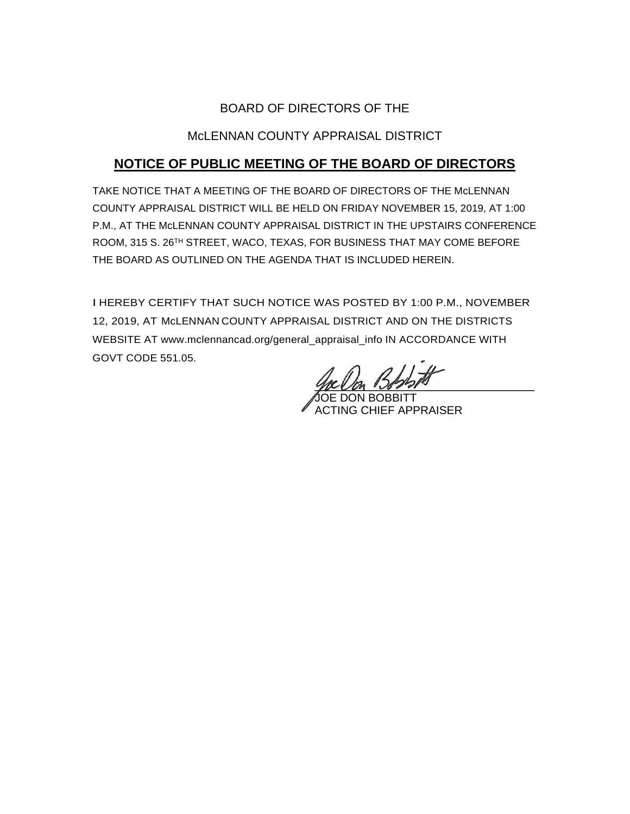## BOARD OF DIRECTORS OF THE

## McLENNAN COUNTY APPRAISAL DISTRICT

# **NOTICE OF PUBLIC MEETING OF THE BOARD OF DIRECTORS**

TAKE NOTICE THAT A MEETING OF THE BOARD OF DIRECTORS OF THE McLENNAN COUNTY APPRAISAL DISTRICT WILL BE HELD ON FRIDAY NOVEMBER 15, 2019, AT 1:00 P.M., AT THE McLENNAN COUNTY APPRAISAL DISTRICT IN THE UPSTAIRS CONFERENCE ROOM, 315 S. 26TH STREET, WACO, TEXAS, FOR BUSINESS THAT MAY COME BEFORE THE BOARD AS OUTLINED ON THE AGENDA THAT IS INCLUDED HEREIN.

I HEREBY CERTIFY THAT SUCH NOTICE WAS POSTED BY 1:00 P.M., NOVEMBER 12, 2019, AT McLENNAN COUNTY APPRAISAL DISTRICT AND ON THE DISTRICTS WEBSITE AT www.mclennancad.org/general\_appraisal\_info IN ACCORDANCE WITH GOVT CODE 551.05.

you and the control of the control of the control of the control of the control of the control of the control o

JOE DON BOBBITT ACTING CHIEF APPRAISER